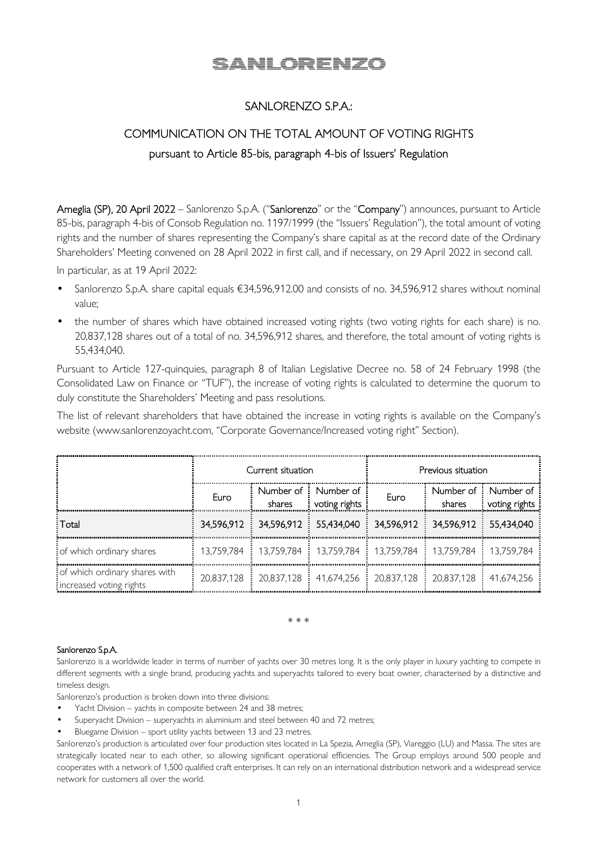# **SANLORENZO**

### SANLORENZO S.P.A.:

## COMMUNICATION ON THE TOTAL AMOUNT OF VOTING RIGHTS pursuant to Article 85-bis, paragraph 4-bis of Issuers' Regulation

Ameglia (SP), 20 April 2022 – Sanlorenzo S.p.A. ("Sanlorenzo" or the "Company") announces, pursuant to Article 85-bis, paragraph 4-bis of Consob Regulation no. 1197/1999 (the "Issuers' Regulation"), the total amount of voting rights and the number of shares representing the Company's share capital as at the record date of the Ordinary Shareholders' Meeting convened on 28 April 2022 in first call, and if necessary, on 29 April 2022 in second call.

In particular, as at 19 April 2022:

- Sanlorenzo S.p.A. share capital equals €34,596,912.00 and consists of no. 34,596,912 shares without nominal value;
- the number of shares which have obtained increased voting rights (two voting rights for each share) is no. 20,837,128 shares out of a total of no. 34,596,912 shares, and therefore, the total amount of voting rights is 55,434,040.

Pursuant to Article 127-quinquies, paragraph 8 of Italian Legislative Decree no. 58 of 24 February 1998 (the Consolidated Law on Finance or "TUF"), the increase of voting rights is calculated to determine the quorum to duly constitute the Shareholders' Meeting and pass resolutions.

The list of relevant shareholders that have obtained the increase in voting rights is available on the Company's website (www.sanlorenzoyacht.com, "Corporate Governance/Increased voting right" Section).

|                                                          | Current situation |                     |                            | Previous situation                                                                                                                      |                         |                            |
|----------------------------------------------------------|-------------------|---------------------|----------------------------|-----------------------------------------------------------------------------------------------------------------------------------------|-------------------------|----------------------------|
|                                                          | Furo              | Number of<br>shares | Number of<br>voting rights | Euro                                                                                                                                    | Number of : :<br>shares | Number of<br>voting rights |
| : Total                                                  |                   |                     |                            | 34,596,912 34,596,912 55,434,040 34,596,912 34,596,912 55,434,040                                                                       |                         |                            |
| of which ordinary shares                                 |                   |                     |                            | 13,759,784 : 13,759,784 : 13,759,784 : 13,759,784 : 13,759,784 : 13,759,784                                                             |                         |                            |
| of which ordinary shares with<br>increased voting rights |                   |                     |                            | 20,837,128 $\frac{1}{2}$ 20,837,128 $\frac{1}{2}$ 41,674,256 $\frac{1}{2}$ 20,837,128 $\frac{1}{2}$ 20,837,128 $\frac{1}{2}$ 41,674,256 |                         |                            |

\* \* \*

#### Sanlorenzo S.p.A.

Sanlorenzo is a worldwide leader in terms of number of yachts over 30 metres long. It is the only player in luxury yachting to compete in different segments with a single brand, producing yachts and superyachts tailored to every boat owner, characterised by a distinctive and timeless design.

Sanlorenzo's production is broken down into three divisions:

- Yacht Division yachts in composite between 24 and 38 metres;
- Superyacht Division superyachts in aluminium and steel between 40 and 72 metres;
- Bluegame Division sport utility yachts between 13 and 23 metres.

Sanlorenzo's production is articulated over four production sites located in La Spezia, Ameglia (SP), Viareggio (LU) and Massa. The sites are strategically located near to each other, so allowing significant operational efficiencies. The Group employs around 500 people and cooperates with a network of 1,500 qualified craft enterprises. It can rely on an international distribution network and a widespread service network for customers all over the world.